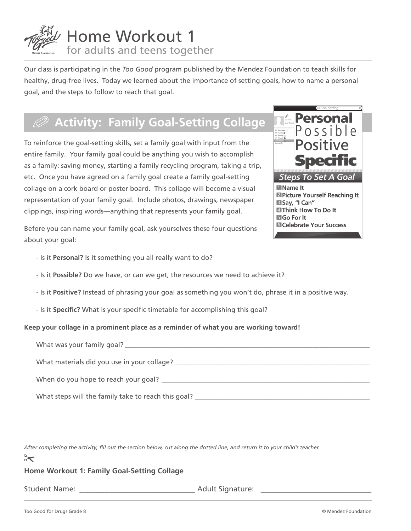

Our class is participating in the *Too Good* program published by the Mendez Foundation to teach skills for healthy, drug-free lives. Today we learned about the importance of setting goals, how to name a personal goal, and the steps to follow to reach that goal.

# .**Activity: Family Goal-Setting Collage**

To reinforce the goal-setting skills, set a family goal with input from the entire family. Your family goal could be anything you wish to accomplish as a family: saving money, starting a family recycling program, taking a trip, etc. Once you have agreed on a family goal create a family goal-setting collage on a cork board or poster board. This collage will become a visual representation of your family goal. Include photos, drawings, newspaper clippings, inspiring words—anything that represents your family goal.



Before you can name your family goal, ask yourselves these four questions about your goal:

- Is it **Personal?** Is it something you all really want to do?
- Is it **Possible?** Do we have, or can we get, the resources we need to achieve it?
- Is it **Positive?** Instead of phrasing your goal as something you won't do, phrase it in a positive way.
- Is it **Specific?** What is your specific timetable for accomplishing this goal?

#### **Keep your collage in a prominent place as a reminder of what you are working toward!**

| What was your family goal?                          |
|-----------------------------------------------------|
| What materials did you use in your collage?         |
|                                                     |
| What steps will the family take to reach this goal? |

After completing the activity, fill out the section below, cut along the dotted line, and return it to your child's teacher.

 $\approx$ 

### **Home Workout 1: Family Goal-Setting Collage**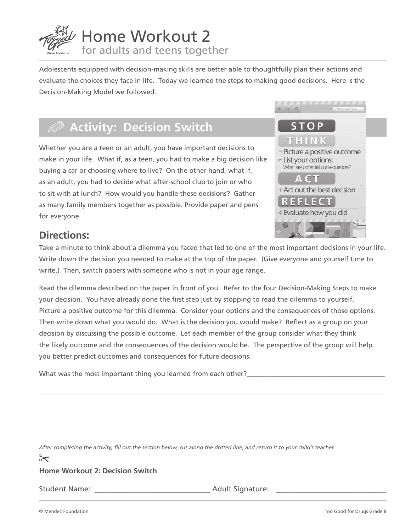

Adolescents equipped with decision-making skills are better able to thoughtfully plan their actions and evaluate the choices they face in life. Today we learned the steps to making good decisions. Here is the Decision-Making Model we followed.

# .**Activity: Decision Switch**

Whether you are a teen or an adult, you have important decisions to make in your life. What if, as a teen, you had to make a big decision like buying a car or choosing where to live? On the other hand, what if, as an adult, you had to decide what after-school club to join or who to sit with at lunch? How would you handle these decisions? Gather as many family members together as possible. Provide paper and pens for everyone.



### **Directions:**

Take a minute to think about a dilemma you faced that led to one of the most important decisions in your life. Write down the decision you needed to make at the top of the paper. (Give everyone and yourself time to write.) Then, switch papers with someone who is not in your age range.

Read the dilemma described on the paper in front of you. Refer to the four Decision-Making Steps to make your decision. You have already done the first step just by stopping to read the dilemma to yourself. Picture a positive outcome for this dilemma. Consider your options and the consequences of those options. Then write down what you would do. What is the decision you would make? Reflect as a group on your decision by discussing the possible outcome. Let each member of the group consider what they think the likely outcome and the consequences of the decision would be. The perspective of the group will help you better predict outcomes and consequences for future decisions.

\_\_\_\_\_\_\_\_\_\_\_\_\_\_\_\_\_\_\_\_\_\_\_\_\_\_\_\_\_\_\_\_\_\_\_\_\_\_\_\_\_\_\_\_\_\_\_\_\_\_\_\_\_\_\_\_\_\_\_\_\_\_\_\_\_\_\_\_\_\_\_\_\_\_\_\_\_\_\_\_\_\_\_\_\_\_\_\_\_\_\_\_\_\_\_\_\_\_\_\_\_\_\_

What was the most important thing you learned from each other?

After completing the activity, fill out the section below, cut along the dotted line, and return it to your child's teacher.

#### **Home Workout 2: Decision Switch**

 $\succ$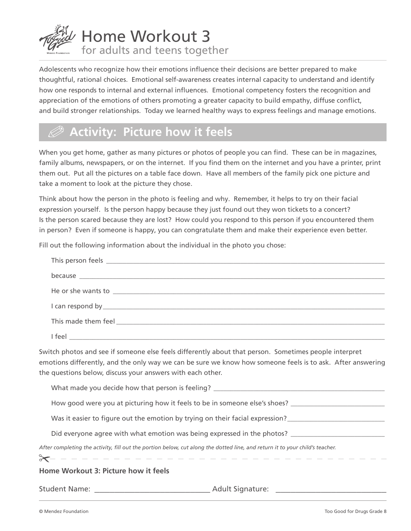

Adolescents who recognize how their emotions influence their decisions are better prepared to make thoughtful, rational choices. Emotional self-awareness creates internal capacity to understand and identify how one responds to internal and external influences. Emotional competency fosters the recognition and appreciation of the emotions of others promoting a greater capacity to build empathy, diffuse conflict, and build stronger relationships. Today we learned healthy ways to express feelings and manage emotions.

## .**Activity: Picture how it feels**

When you get home, gather as many pictures or photos of people you can find. These can be in magazines, family albums, newspapers, or on the internet. If you find them on the internet and you have a printer, print them out. Put all the pictures on a table face down. Have all members of the family pick one picture and take a moment to look at the picture they chose.

Think about how the person in the photo is feeling and why. Remember, it helps to try on their facial expression yourself. Is the person happy because they just found out they won tickets to a concert? Is the person scared because they are lost? How could you respond to this person if you encountered them in person? Even if someone is happy, you can congratulate them and make their experience even better.

Fill out the following information about the individual in the photo you chose:

| Switch photos and see if someone else feels differently about that person. Sometimes people interpret<br>emotions differently, and the only way we can be sure we know how someone feels is to ask. After answering<br>the questions below, discuss your answers with each other. |
|-----------------------------------------------------------------------------------------------------------------------------------------------------------------------------------------------------------------------------------------------------------------------------------|
|                                                                                                                                                                                                                                                                                   |
| How good were you at picturing how it feels to be in someone else's shoes? _________________________                                                                                                                                                                              |
|                                                                                                                                                                                                                                                                                   |
| Did everyone agree with what emotion was being expressed in the photos? ____________________________                                                                                                                                                                              |
| After completing the activity, fill out the portion below, cut along the dotted line, and return it to your child's teacher.<br>$\rightarrow$<br>______________________________                                                                                                   |
| Home Workout 3: Picture how it feels                                                                                                                                                                                                                                              |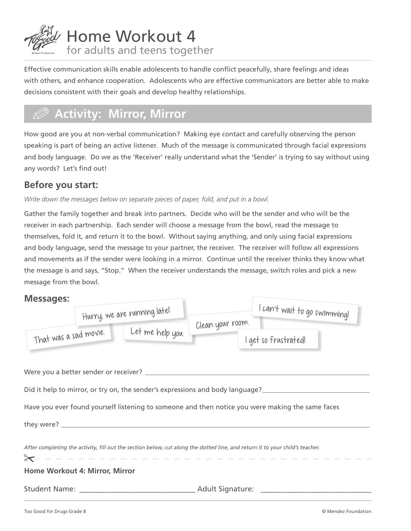

Effective communication skills enable adolescents to handle conflict peacefully, share feelings and ideas with others, and enhance cooperation. Adolescents who are effective communicators are better able to make decisions consistent with their goals and develop healthy relationships.

# .**Activity: Mirror, Mirror**

How good are you at non-verbal communication? Making eye contact and carefully observing the person speaking is part of being an active listener. Much of the message is communicated through facial expressions and body language. Do we as the 'Receiver' really understand what the 'Sender' is trying to say without using any words? Let's find out!

### **Before you start:**

#### Write down the messages below on separate pieces of paper, fold, and put in a bowl.

Gather the family together and break into partners. Decide who will be the sender and who will be the receiver in each partnership. Each sender will choose a message from the bowl, read the message to themselves, fold it, and return it to the bowl. Without saying anything, and only using facial expressions and body language, send the message to your partner, the receiver. The receiver will follow all expressions and movements as if the sender were looking in a mirror. Continue until the receiver thinks they know what the message is and says, "Stop." When the receiver understands the message, switch roles and pick a new message from the bowl.

### **Messages:**

| iviessages:                    |                                                                               |                  |                                                                                                                              |
|--------------------------------|-------------------------------------------------------------------------------|------------------|------------------------------------------------------------------------------------------------------------------------------|
|                                | Hurry, we are running latel                                                   |                  | I can't wait to go swimming!                                                                                                 |
| That was a sad movie.          | Let me help you.                                                              | Clean your room. | I get so frustrated!                                                                                                         |
|                                |                                                                               |                  |                                                                                                                              |
|                                | Did it help to mirror, or try on, the sender's expressions and body language? |                  |                                                                                                                              |
|                                |                                                                               |                  | Have you ever found yourself listening to someone and then notice you were making the same faces                             |
|                                |                                                                               |                  |                                                                                                                              |
| $\approx$                      | ------------                                                                  |                  | After completing the activity, fill out the section below, cut along the dotted line, and return it to your child's teacher. |
| Home Workout 4: Mirror, Mirror |                                                                               |                  |                                                                                                                              |
|                                |                                                                               |                  |                                                                                                                              |
|                                |                                                                               |                  |                                                                                                                              |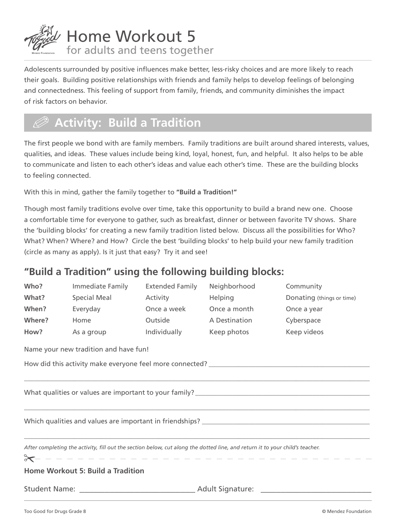

Adolescents surrounded by positive influences make better, less-risky choices and are more likely to reach their goals. Building positive relationships with friends and family helps to develop feelings of belonging and connectedness. This feeling of support from family, friends, and community diminishes the impact of risk factors on behavior.

## .**Activity: Build a Tradition**

The first people we bond with are family members. Family traditions are built around shared interests, values, qualities, and ideas. These values include being kind, loyal, honest, fun, and helpful. It also helps to be able to communicate and listen to each other's ideas and value each other's time. These are the building blocks to feeling connected.

With this in mind, gather the family together to **"Build a Tradition!"**

Though most family traditions evolve over time, take this opportunity to build a brand new one. Choose a comfortable time for everyone to gather, such as breakfast, dinner or between favorite TV shows. Share the 'building blocks' for creating a new family tradition listed below. Discuss all the possibilities for Who? What? When? Where? and How? Circle the best 'building blocks' to help build your new family tradition (circle as many as apply). Is it just that easy? Try it and see!

### **"Build a Tradition" using the following building blocks:**

| Who?                                                                                                                         | Immediate Family                      | <b>Extended Family</b> | Neighborhood   | Community                 |  |
|------------------------------------------------------------------------------------------------------------------------------|---------------------------------------|------------------------|----------------|---------------------------|--|
| What?                                                                                                                        | Special Meal                          | Activity               | <b>Helping</b> | Donating (things or time) |  |
| When?                                                                                                                        | Everyday                              | Once a week            | Once a month   | Once a year               |  |
| Where?                                                                                                                       | Home                                  | Outside                | A Destination  | Cyberspace                |  |
| How?                                                                                                                         | As a group                            | Individually           | Keep photos    | Keep videos               |  |
|                                                                                                                              | Name your new tradition and have fun! |                        |                |                           |  |
|                                                                                                                              |                                       |                        |                |                           |  |
|                                                                                                                              |                                       |                        |                |                           |  |
|                                                                                                                              |                                       |                        |                |                           |  |
|                                                                                                                              |                                       |                        |                |                           |  |
|                                                                                                                              |                                       |                        |                |                           |  |
|                                                                                                                              |                                       |                        |                |                           |  |
| After completing the activity, fill out the section below, cut along the dotted line, and return it to your child's teacher. |                                       |                        |                |                           |  |
|                                                                                                                              |                                       |                        |                |                           |  |
| <b>Home Workout 5: Build a Tradition</b>                                                                                     |                                       |                        |                |                           |  |
|                                                                                                                              |                                       |                        |                |                           |  |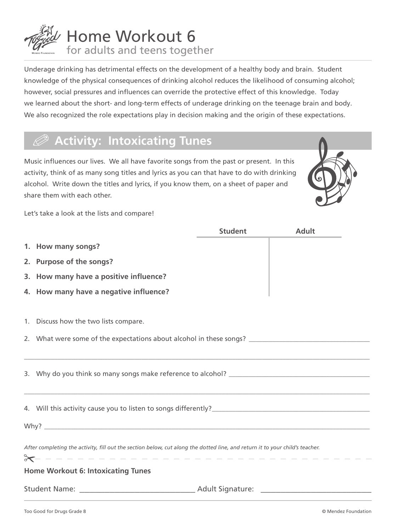

Underage drinking has detrimental effects on the development of a healthy body and brain. Student knowledge of the physical consequences of drinking alcohol reduces the likelihood of consuming alcohol; however, social pressures and influences can override the protective effect of this knowledge. Today we learned about the short- and long-term effects of underage drinking on the teenage brain and body. We also recognized the role expectations play in decision making and the origin of these expectations.

## .**Activity: Intoxicating Tunes**

Music influences our lives. We all have favorite songs from the past or present. In this activity, think of as many song titles and lyrics as you can that have to do with drinking alcohol. Write down the titles and lyrics, if you know them, on a sheet of paper and share them with each other.



Let's take a look at the lists and compare!

|                                                                                                                              |                                                                                                      | <b>Student</b> | <b>Adult</b> |  |
|------------------------------------------------------------------------------------------------------------------------------|------------------------------------------------------------------------------------------------------|----------------|--------------|--|
|                                                                                                                              | 1. How many songs?                                                                                   |                |              |  |
|                                                                                                                              | 2. Purpose of the songs?                                                                             |                |              |  |
|                                                                                                                              | 3. How many have a positive influence?                                                               |                |              |  |
|                                                                                                                              | 4. How many have a negative influence?                                                               |                |              |  |
|                                                                                                                              |                                                                                                      |                |              |  |
|                                                                                                                              | 1. Discuss how the two lists compare.                                                                |                |              |  |
|                                                                                                                              | 2. What were some of the expectations about alcohol in these songs? ________________________________ |                |              |  |
|                                                                                                                              | ,我们就会在这里的人,我们就会在这里的人,我们就会在这里的人,我们就会在这里的人,我们就会在这里的人,我们就会在这里的人,我们就会在这里的人,我们就会在这里的人                     |                |              |  |
|                                                                                                                              |                                                                                                      |                |              |  |
|                                                                                                                              | ,我们也不能在这里的,我们也不能在这里的,我们也不能不能不能不能不能不能不能不能不能不能不能不能不能不能。""我们的,我们也不能不能不能不能不能不能不能不能不能                     |                |              |  |
|                                                                                                                              |                                                                                                      |                |              |  |
|                                                                                                                              |                                                                                                      |                |              |  |
|                                                                                                                              |                                                                                                      |                |              |  |
| After completing the activity, fill out the section below, cut along the dotted line, and return it to your child's teacher. |                                                                                                      |                |              |  |
|                                                                                                                              | X - - - - - - - - - - - - - - - - -                                                                  |                |              |  |
|                                                                                                                              | <b>Home Workout 6: Intoxicating Tunes</b>                                                            |                |              |  |
|                                                                                                                              |                                                                                                      |                |              |  |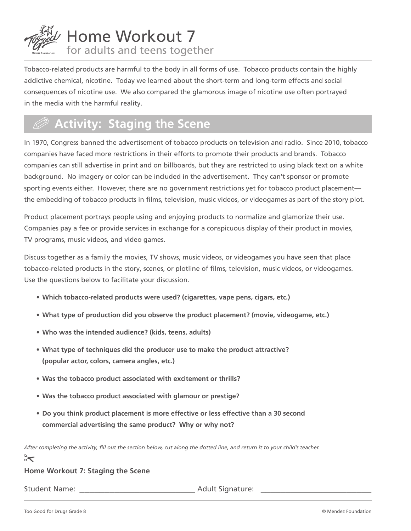

Tobacco-related products are harmful to the body in all forms of use. Tobacco products contain the highly addictive chemical, nicotine. Today we learned about the short-term and long-term effects and social consequences of nicotine use. We also compared the glamorous image of nicotine use often portrayed in the media with the harmful reality.

## .**Activity: Staging the Scene**

In 1970, Congress banned the advertisement of tobacco products on television and radio. Since 2010, tobacco companies have faced more restrictions in their efforts to promote their products and brands. Tobacco companies can still advertise in print and on billboards, but they are restricted to using black text on a white background. No imagery or color can be included in the advertisement. They can't sponsor or promote sporting events either. However, there are no government restrictions yet for tobacco product placement the embedding of tobacco products in films, television, music videos, or videogames as part of the story plot.

Product placement portrays people using and enjoying products to normalize and glamorize their use. Companies pay a fee or provide services in exchange for a conspicuous display of their product in movies, TV programs, music videos, and video games.

Discuss together as a family the movies, TV shows, music videos, or videogames you have seen that place tobacco-related products in the story, scenes, or plotline of films, television, music videos, or videogames. Use the questions below to facilitate your discussion.

- **• Which tobacco-related products were used? (cigarettes, vape pens, cigars, etc.)**
- **• What type of production did you observe the product placement? (movie, videogame, etc.)**
- **• Who was the intended audience? (kids, teens, adults)**
- **• What type of techniques did the producer use to make the product attractive? (popular actor, colors, camera angles, etc.)**
- **• Was the tobacco product associated with excitement or thrills?**
- **• Was the tobacco product associated with glamour or prestige?**
- **• Do you think product placement is more effective or less effective than a 30 second commercial advertising the same product? Why or why not?**

After completing the activity, fill out the section below, cut along the dotted line, and return it to your child's teacher.

**Home Workout 7: Staging the Scene**

Student Name: **\_\_\_\_\_\_\_\_\_\_\_\_\_\_\_\_\_\_\_\_\_\_\_** Adult Signature: **\_\_\_\_\_\_\_\_\_\_\_\_\_\_\_\_\_\_\_\_\_\_**

 $\geq$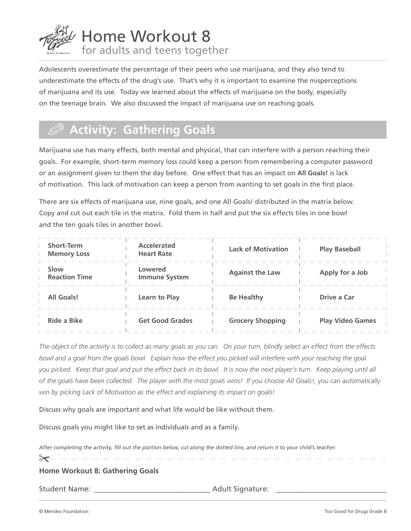

Adolescents overestimate the percentage of their peers who use marijuana, and they also tend to underestimate the effects of the drug's use. That's why it is important to examine the misperceptions of marijuana and its use. Today we learned about the effects of marijuana on the body, especially on the teenage brain. We also discussed the impact of marijuana use on reaching goals.

## .**Activity: Gathering Goals**

Marijuana use has many effects, both mental and physical, that can interfere with a person reaching their goals. For example, short-term memory loss could keep a person from remembering a computer password or an assignment given to them the day before. One effect that has an impact on **All Goals!** is lack of motivation. This lack of motivation can keep a person from wanting to set goals in the first place.

There are six effects of marijuana use, nine goals, and one All Goals! distributed in the matrix below. Copy and cut out each tile in the matrix. Fold them in half and put the six effects tiles in one bowl and the ten goals tiles in another bowl.

| <b>Short-Term</b><br><b>Memory Loss</b> | <b>Accelerated</b><br><b>Heart Rate</b> | <b>Lack of Motivation</b> | <b>Play Baseball</b>    |
|-----------------------------------------|-----------------------------------------|---------------------------|-------------------------|
| Slow<br><b>Reaction Time</b>            | Lowered<br><b>Immune System</b>         | <b>Against the Law</b>    | Apply for a Job         |
| <b>All Goals!</b>                       | Learn to Play                           | <b>Be Healthy</b>         | Drive a Car             |
| <b>Ride a Bike</b>                      | <b>Get Good Grades</b>                  | <b>Grocery Shopping</b>   | <b>Play Video Games</b> |

*The object of the activity is to collect as many goals as you can. On your turn, blindly select an effect from the effects*  bowl and a goal from the goals bowl. Explain how the effect you picked will interfere with your reaching the goal *you picked. Keep that goal and put the effect back in its bowl. It is now the next player's turn. Keep playing until all of the goals have been collected. The player with the most goals wins! If you choose All Goals!, you can automatically win by picking Lack of Motivation as the effect and explaining its impact on goals!*

Discuss why goals are important and what life would be like without them.

Discuss goals you might like to set as individuals and as a family.

After completing the activity, fill out the portion below, cut along the dotted line, and return it to your child's teacher.

 $\approx$ 

**Home Workout 8: Gathering Goals**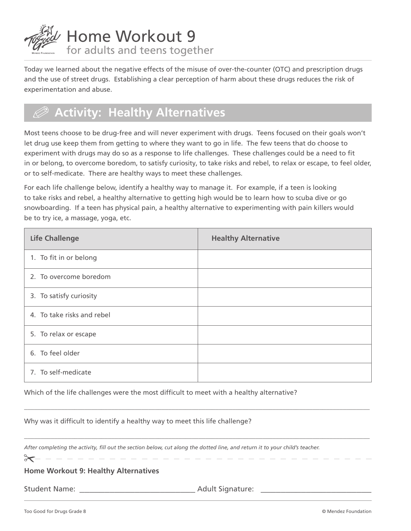

Today we learned about the negative effects of the misuse of over-the-counter (OTC) and prescription drugs and the use of street drugs. Establishing a clear perception of harm about these drugs reduces the risk of experimentation and abuse.

# .**Activity: Healthy Alternatives**

Most teens choose to be drug-free and will never experiment with drugs. Teens focused on their goals won't let drug use keep them from getting to where they want to go in life. The few teens that do choose to experiment with drugs may do so as a response to life challenges. These challenges could be a need to fit in or belong, to overcome boredom, to satisfy curiosity, to take risks and rebel, to relax or escape, to feel older, or to self-medicate. There are healthy ways to meet these challenges.

For each life challenge below, identify a healthy way to manage it. For example, if a teen is looking to take risks and rebel, a healthy alternative to getting high would be to learn how to scuba dive or go snowboarding. If a teen has physical pain, a healthy alternative to experimenting with pain killers would be to try ice, a massage, yoga, etc.

| <b>Life Challenge</b>      | <b>Healthy Alternative</b> |
|----------------------------|----------------------------|
| 1. To fit in or belong     |                            |
| 2. To overcome boredom     |                            |
| 3. To satisfy curiosity    |                            |
| 4. To take risks and rebel |                            |
| 5. To relax or escape      |                            |
| 6. To feel older           |                            |
| 7. To self-medicate        |                            |

\_\_\_\_\_\_\_\_\_\_\_\_\_\_\_\_\_\_\_\_\_\_\_\_\_\_\_\_\_\_\_\_\_\_\_\_\_\_\_\_\_\_\_\_\_\_\_\_\_\_\_\_\_\_\_\_\_\_\_\_\_\_\_\_\_\_\_\_\_\_\_\_\_\_\_\_\_\_\_\_\_\_\_\_\_\_\_\_\_\_\_\_\_\_\_\_\_\_\_\_\_\_\_

 $\_$  , and the set of the set of the set of the set of the set of the set of the set of the set of the set of the set of the set of the set of the set of the set of the set of the set of the set of the set of the set of th

Which of the life challenges were the most difficult to meet with a healthy alternative?

Why was it difficult to identify a healthy way to meet this life challenge?

After completing the activity, fill out the section below, cut along the dotted line, and return it to your child's teacher.

 $\begin{array}{cccccccccccccc} \bot & \bot & \bot & \bot & \bot \end{array}$ 

 $\approx$ 

**Home Workout 9: Healthy Alternatives**